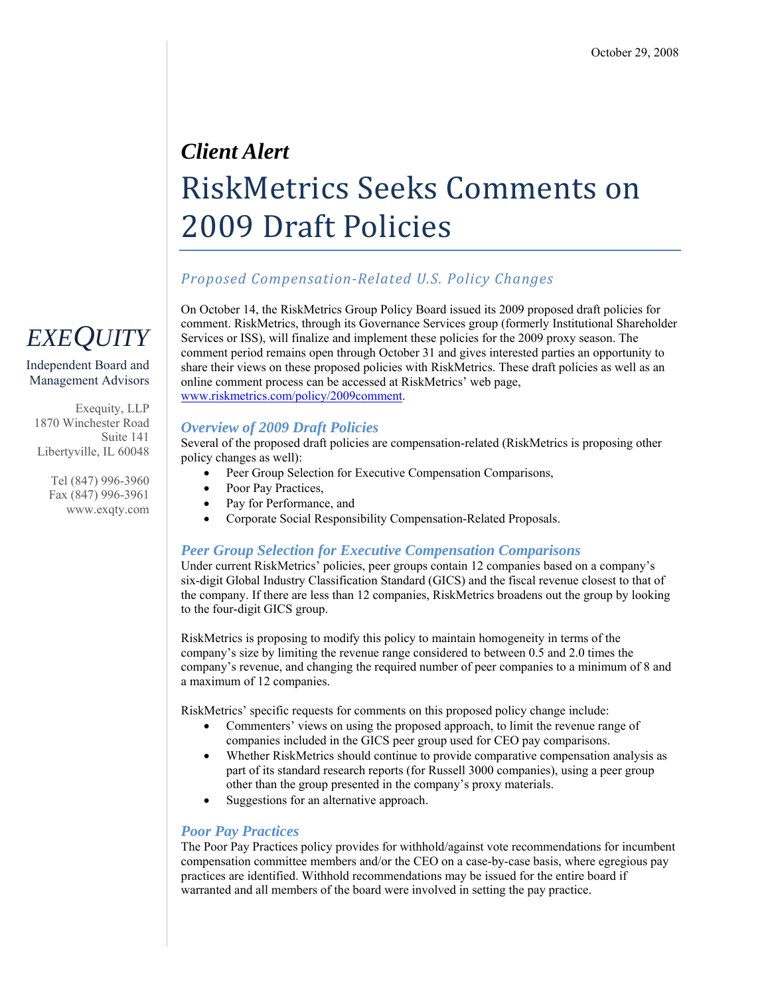# *Client Alert*  RiskMetrics Seeks Comments on 2009 Draft Policies

### *Proposed CompensationRelated U.S. Policy Changes*

On October 14, the RiskMetrics Group Policy Board issued its 2009 proposed draft policies for comment. RiskMetrics, through its Governance Services group (formerly Institutional Shareholder Services or ISS), will finalize and implement these policies for the 2009 proxy season. The comment period remains open through October 31 and gives interested parties an opportunity to share their views on these proposed policies with RiskMetrics. These draft policies as well as an online comment process can be accessed at RiskMetrics' web page, [www.riskmetrics.com/policy/2009comment](http://www.riskmetrics.com/policy/2009comment).

#### *Overview of 2009 Draft Policies*

Several of the proposed draft policies are compensation-related (RiskMetrics is proposing other policy changes as well):

- Peer Group Selection for Executive Compensation Comparisons,
- Poor Pay Practices,
- Pay for Performance, and
- Corporate Social Responsibility Compensation-Related Proposals.

#### *Peer Group Selection for Executive Compensation Comparisons*

Under current RiskMetrics' policies, peer groups contain 12 companies based on a company's six-digit Global Industry Classification Standard (GICS) and the fiscal revenue closest to that of the company. If there are less than 12 companies, RiskMetrics broadens out the group by looking to the four-digit GICS group.

RiskMetrics is proposing to modify this policy to maintain homogeneity in terms of the company's size by limiting the revenue range considered to between 0.5 and 2.0 times the company's revenue, and changing the required number of peer companies to a minimum of 8 and a maximum of 12 companies.

RiskMetrics' specific requests for comments on this proposed policy change include:

- Commenters' views on using the proposed approach, to limit the revenue range of companies included in the GICS peer group used for CEO pay comparisons.
- Whether RiskMetrics should continue to provide comparative compensation analysis as part of its standard research reports (for Russell 3000 companies), using a peer group other than the group presented in the company's proxy materials.
- Suggestions for an alternative approach.

#### *Poor Pay Practices*

The Poor Pay Practices policy provides for withhold/against vote recommendations for incumbent compensation committee members and/or the CEO on a case-by-case basis, where egregious pay practices are identified. Withhold recommendations may be issued for the entire board if warranted and all members of the board were involved in setting the pay practice.



Independent Board and Management Advisors

Exequity, LLP 1870 Winchester Road Suite 141 Libertyville, IL 60048

> Tel (847) 996-3960 Fax (847) 996-3961 www.exqty.com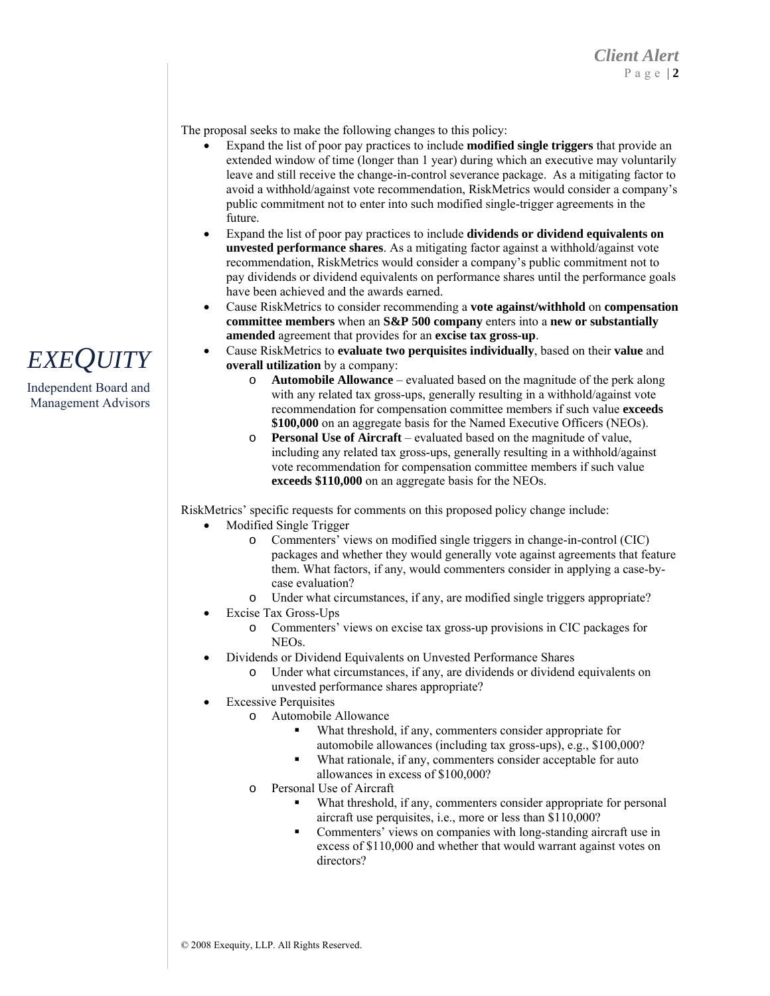The proposal seeks to make the following changes to this policy:

- Expand the list of poor pay practices to include **modified single triggers** that provide an extended window of time (longer than 1 year) during which an executive may voluntarily leave and still receive the change-in-control severance package. As a mitigating factor to avoid a withhold/against vote recommendation, RiskMetrics would consider a company's public commitment not to enter into such modified single-trigger agreements in the future.
- Expand the list of poor pay practices to include **dividends or dividend equivalents on unvested performance shares**. As a mitigating factor against a withhold/against vote recommendation, RiskMetrics would consider a company's public commitment not to pay dividends or dividend equivalents on performance shares until the performance goals have been achieved and the awards earned.
- Cause RiskMetrics to consider recommending a **vote against/withhold** on **compensation committee members** when an **S&P 500 company** enters into a **new or substantially amended** agreement that provides for an **excise tax gross-up**.
- Cause RiskMetrics to **evaluate two perquisites individually**, based on their **value** and **overall utilization** by a company:
	- o **Automobile Allowance** evaluated based on the magnitude of the perk along with any related tax gross-ups, generally resulting in a withhold/against vote recommendation for compensation committee members if such value **exceeds \$100,000** on an aggregate basis for the Named Executive Officers (NEOs).
	- o **Personal Use of Aircraft** evaluated based on the magnitude of value, including any related tax gross-ups, generally resulting in a withhold/against vote recommendation for compensation committee members if such value **exceeds \$110,000** on an aggregate basis for the NEOs.

RiskMetrics' specific requests for comments on this proposed policy change include:

- Modified Single Trigger
	- Commenters' views on modified single triggers in change-in-control (CIC) packages and whether they would generally vote against agreements that feature them. What factors, if any, would commenters consider in applying a case-bycase evaluation?
	- o Under what circumstances, if any, are modified single triggers appropriate?
- Excise Tax Gross-Ups
	- o Commenters' views on excise tax gross-up provisions in CIC packages for NEOs.
- Dividends or Dividend Equivalents on Unvested Performance Shares
	- o Under what circumstances, if any, are dividends or dividend equivalents on unvested performance shares appropriate?
- **Excessive Perquisites** 
	- o Automobile Allowance
		- What threshold, if any, commenters consider appropriate for automobile allowances (including tax gross-ups), e.g., \$100,000?
		- What rationale, if any, commenters consider acceptable for auto allowances in excess of \$100,000?
		- o Personal Use of Aircraft
			- What threshold, if any, commenters consider appropriate for personal aircraft use perquisites, i.e., more or less than \$110,000?
			- Commenters' views on companies with long-standing aircraft use in excess of \$110,000 and whether that would warrant against votes on directors?

### *EXEQUITY*

Independent Board and Management Advisors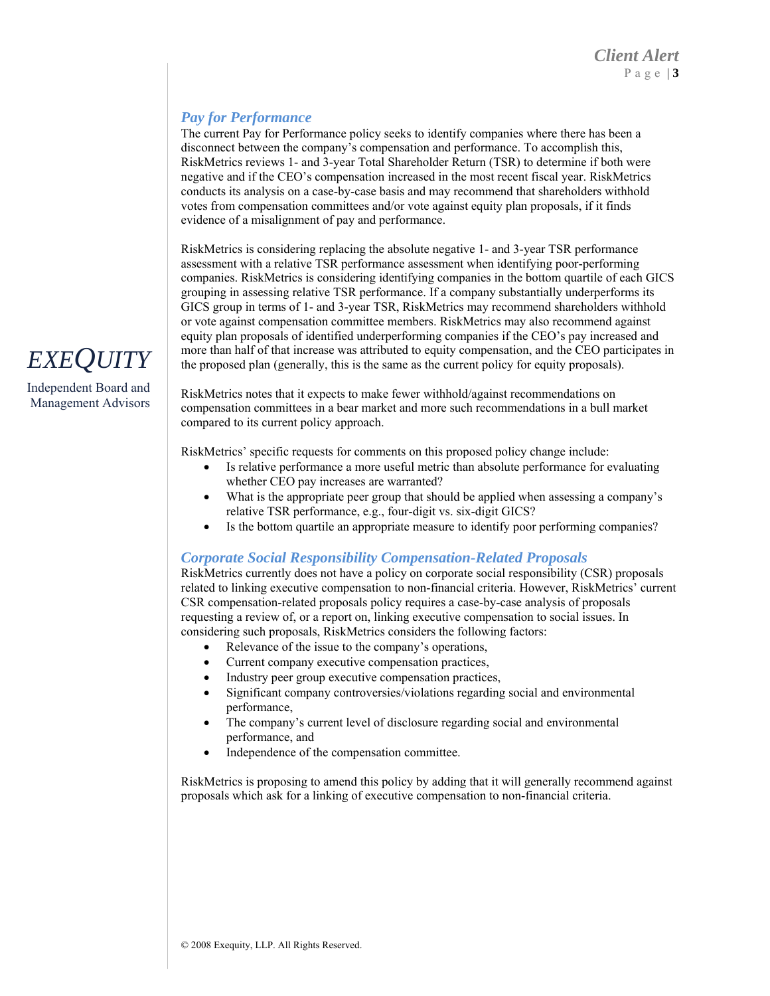#### *Pay for Performance*

The current Pay for Performance policy seeks to identify companies where there has been a disconnect between the company's compensation and performance. To accomplish this, RiskMetrics reviews 1- and 3-year Total Shareholder Return (TSR) to determine if both were negative and if the CEO's compensation increased in the most recent fiscal year. RiskMetrics conducts its analysis on a case-by-case basis and may recommend that shareholders withhold votes from compensation committees and/or vote against equity plan proposals, if it finds evidence of a misalignment of pay and performance.

RiskMetrics is considering replacing the absolute negative 1- and 3-year TSR performance assessment with a relative TSR performance assessment when identifying poor-performing companies. RiskMetrics is considering identifying companies in the bottom quartile of each GICS grouping in assessing relative TSR performance. If a company substantially underperforms its GICS group in terms of 1- and 3-year TSR, RiskMetrics may recommend shareholders withhold or vote against compensation committee members. RiskMetrics may also recommend against equity plan proposals of identified underperforming companies if the CEO's pay increased and **EXEQUITY** more than half of that increase was attributed to equity compensation, and the CEO participates in the proposed plan (generally, this is the same as the current policy for equity proposals).

malagement Board and<br>Management Advisors RiskMetrics notes that it expects to make fewer withhold/against recommendations on<br>RiskMetrics notes that it expects to make fewer withhold/against recommendations in a hull n compensation committees in a bear market and more such recommendations in a bull market compared to its current policy approach.

RiskMetrics' specific requests for comments on this proposed policy change include:

- Is relative performance a more useful metric than absolute performance for evaluating whether CEO pay increases are warranted?
- What is the appropriate peer group that should be applied when assessing a company's relative TSR performance, e.g., four-digit vs. six-digit GICS?
- Is the bottom quartile an appropriate measure to identify poor performing companies?

#### *Corporate Social Responsibility Compensation-Related Proposals*

RiskMetrics currently does not have a policy on corporate social responsibility (CSR) proposals related to linking executive compensation to non-financial criteria. However, RiskMetrics' current CSR compensation-related proposals policy requires a case-by-case analysis of proposals requesting a review of, or a report on, linking executive compensation to social issues. In considering such proposals, RiskMetrics considers the following factors:

- Relevance of the issue to the company's operations,
- Current company executive compensation practices,
- Industry peer group executive compensation practices,
- Significant company controversies/violations regarding social and environmental performance,
- The company's current level of disclosure regarding social and environmental performance, and
- Independence of the compensation committee.

RiskMetrics is proposing to amend this policy by adding that it will generally recommend against proposals which ask for a linking of executive compensation to non-financial criteria.

Independent Board and